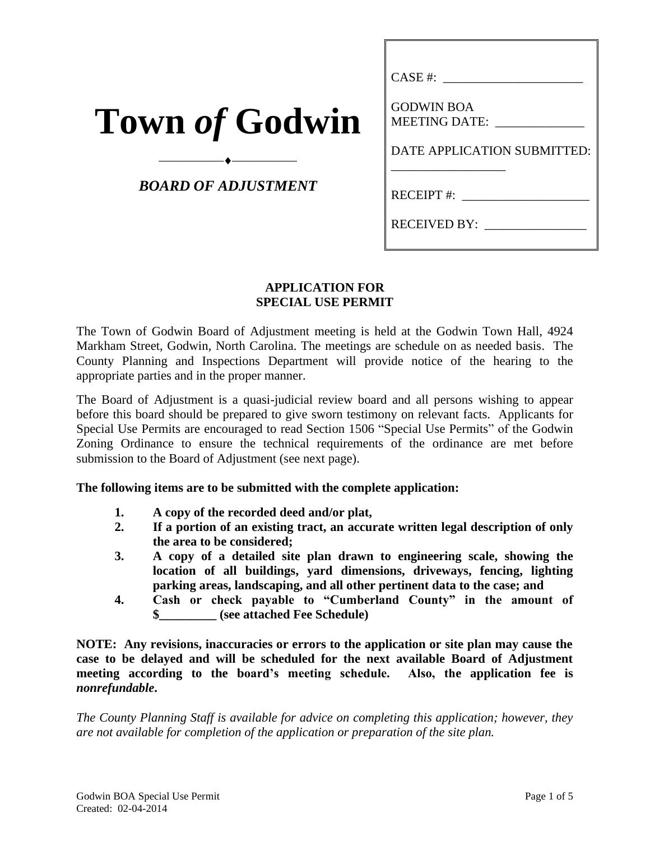| <b>Town of Godwin</b> |  |
|-----------------------|--|
|-----------------------|--|

# *BOARD OF ADJUSTMENT*

⎯⎯⎯⎯⎯⎯⎯⎯⎯⎯

| CASE #:                            |
|------------------------------------|
| <b>GODWIN BOA</b><br>MEETING DATE: |
| DATE APPLICATION SUBMITTED:        |
| RECEIPT #:                         |
| RECEIVED BY:                       |

### **APPLICATION FOR SPECIAL USE PERMIT**

The Town of Godwin Board of Adjustment meeting is held at the Godwin Town Hall, 4924 Markham Street, Godwin, North Carolina. The meetings are schedule on as needed basis. The County Planning and Inspections Department will provide notice of the hearing to the appropriate parties and in the proper manner.

The Board of Adjustment is a quasi-judicial review board and all persons wishing to appear before this board should be prepared to give sworn testimony on relevant facts. Applicants for Special Use Permits are encouraged to read Section 1506 "Special Use Permits" of the Godwin Zoning Ordinance to ensure the technical requirements of the ordinance are met before submission to the Board of Adjustment (see next page).

#### **The following items are to be submitted with the complete application:**

- **1. A copy of the recorded deed and/or plat,**
- **2. If a portion of an existing tract, an accurate written legal description of only the area to be considered;**
- **3. A copy of a detailed site plan drawn to engineering scale, showing the location of all buildings, yard dimensions, driveways, fencing, lighting parking areas, landscaping, and all other pertinent data to the case; and**
- **4. Cash or check payable to "Cumberland County" in the amount of \$\_\_\_\_\_\_\_\_\_ (see attached Fee Schedule)**

**NOTE: Any revisions, inaccuracies or errors to the application or site plan may cause the case to be delayed and will be scheduled for the next available Board of Adjustment meeting according to the board's meeting schedule. Also, the application fee is**  *nonrefundable***.**

*The County Planning Staff is available for advice on completing this application; however, they are not available for completion of the application or preparation of the site plan.*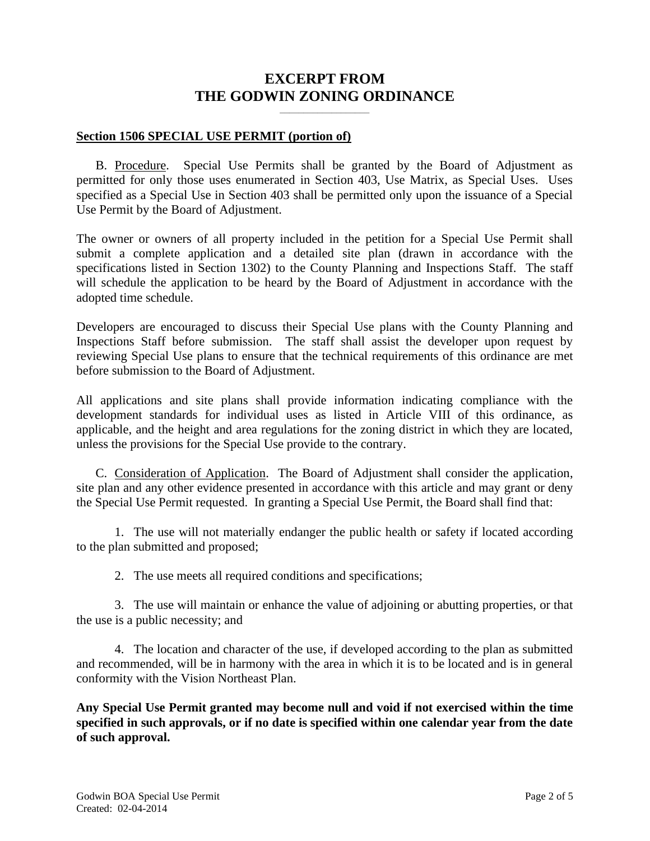# **EXCERPT FROM THE GODWIN ZONING ORDINANCE**

**\_\_\_\_\_\_\_\_\_\_\_\_\_\_\_\_\_\_\_**

#### **Section 1506 SPECIAL USE PERMIT (portion of)**

B. Procedure. Special Use Permits shall be granted by the Board of Adjustment as permitted for only those uses enumerated in Section 403, Use Matrix, as Special Uses. Uses specified as a Special Use in Section 403 shall be permitted only upon the issuance of a Special Use Permit by the Board of Adjustment.

The owner or owners of all property included in the petition for a Special Use Permit shall submit a complete application and a detailed site plan (drawn in accordance with the specifications listed in Section 1302) to the County Planning and Inspections Staff. The staff will schedule the application to be heard by the Board of Adjustment in accordance with the adopted time schedule.

Developers are encouraged to discuss their Special Use plans with the County Planning and Inspections Staff before submission. The staff shall assist the developer upon request by reviewing Special Use plans to ensure that the technical requirements of this ordinance are met before submission to the Board of Adjustment.

All applications and site plans shall provide information indicating compliance with the development standards for individual uses as listed in Article VIII of this ordinance, as applicable, and the height and area regulations for the zoning district in which they are located, unless the provisions for the Special Use provide to the contrary.

C. Consideration of Application.The Board of Adjustment shall consider the application, site plan and any other evidence presented in accordance with this article and may grant or deny the Special Use Permit requested. In granting a Special Use Permit, the Board shall find that:

1. The use will not materially endanger the public health or safety if located according to the plan submitted and proposed;

2. The use meets all required conditions and specifications;

3. The use will maintain or enhance the value of adjoining or abutting properties, or that the use is a public necessity; and

4. The location and character of the use, if developed according to the plan as submitted and recommended, will be in harmony with the area in which it is to be located and is in general conformity with the Vision Northeast Plan.

**Any Special Use Permit granted may become null and void if not exercised within the time specified in such approvals, or if no date is specified within one calendar year from the date of such approval.**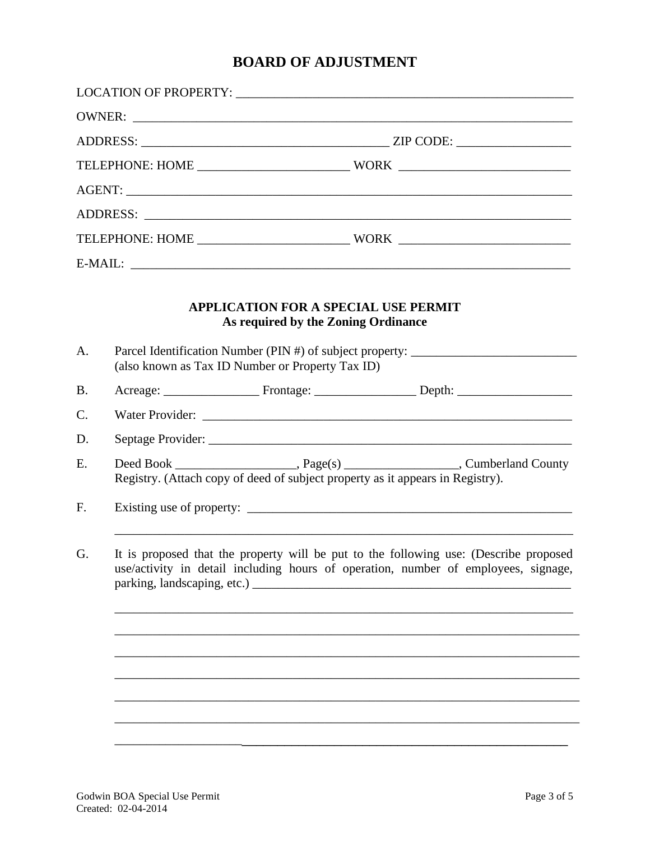# **BOARD OF ADJUSTMENT**

| A.                                                                                                                                                                                                                                                                                                                                        |  | <b>APPLICATION FOR A SPECIAL USE PERMIT</b><br>As required by the Zoning Ordinance<br>(also known as Tax ID Number or Property Tax ID) | Parcel Identification Number (PIN #) of subject property: _______________________ |
|-------------------------------------------------------------------------------------------------------------------------------------------------------------------------------------------------------------------------------------------------------------------------------------------------------------------------------------------|--|----------------------------------------------------------------------------------------------------------------------------------------|-----------------------------------------------------------------------------------|
| <b>B.</b>                                                                                                                                                                                                                                                                                                                                 |  |                                                                                                                                        |                                                                                   |
| C.                                                                                                                                                                                                                                                                                                                                        |  |                                                                                                                                        |                                                                                   |
| D.                                                                                                                                                                                                                                                                                                                                        |  |                                                                                                                                        |                                                                                   |
| E.                                                                                                                                                                                                                                                                                                                                        |  | Registry. (Attach copy of deed of subject property as it appears in Registry).                                                         |                                                                                   |
| F.                                                                                                                                                                                                                                                                                                                                        |  |                                                                                                                                        |                                                                                   |
| It is proposed that the property will be put to the following use: (Describe proposed<br>G.<br>use/activity in detail including hours of operation, number of employees, signage,<br>parking, landscaping, etc.)<br><u> 1989 - Johann Barbara, martxa alemaniar amerikan basar da da a shekara a shekara a shekara a shekara a shekar</u> |  |                                                                                                                                        |                                                                                   |
|                                                                                                                                                                                                                                                                                                                                           |  |                                                                                                                                        |                                                                                   |
|                                                                                                                                                                                                                                                                                                                                           |  |                                                                                                                                        |                                                                                   |
|                                                                                                                                                                                                                                                                                                                                           |  |                                                                                                                                        |                                                                                   |
|                                                                                                                                                                                                                                                                                                                                           |  |                                                                                                                                        |                                                                                   |
|                                                                                                                                                                                                                                                                                                                                           |  |                                                                                                                                        |                                                                                   |
|                                                                                                                                                                                                                                                                                                                                           |  |                                                                                                                                        |                                                                                   |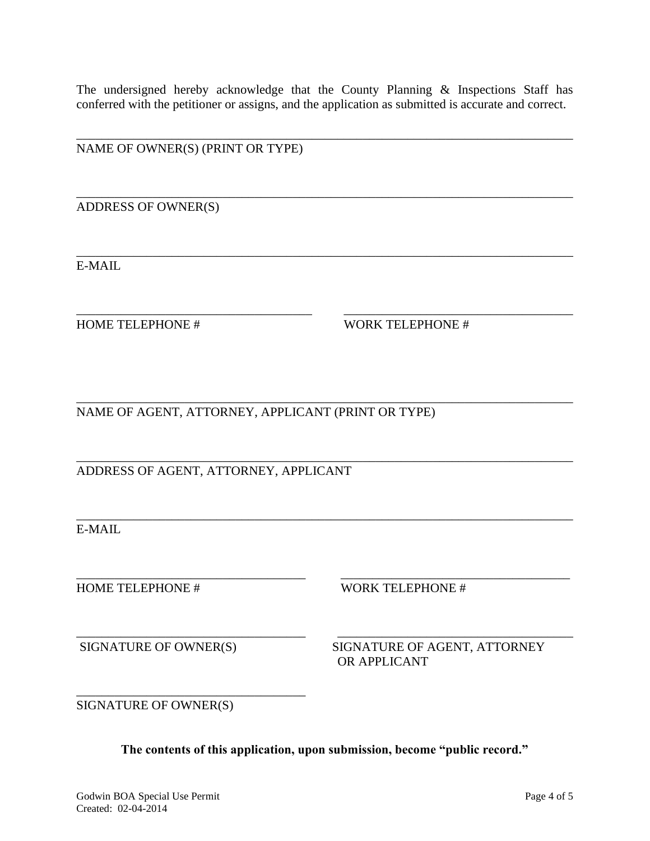The undersigned hereby acknowledge that the County Planning & Inspections Staff has conferred with the petitioner or assigns, and the application as submitted is accurate and correct.

\_\_\_\_\_\_\_\_\_\_\_\_\_\_\_\_\_\_\_\_\_\_\_\_\_\_\_\_\_\_\_\_\_\_\_\_\_\_\_\_\_\_\_\_\_\_\_\_\_\_\_\_\_\_\_\_\_\_\_\_\_\_\_\_\_\_\_\_\_\_\_\_\_\_\_\_\_\_

\_\_\_\_\_\_\_\_\_\_\_\_\_\_\_\_\_\_\_\_\_\_\_\_\_\_\_\_\_\_\_\_\_\_\_\_\_\_\_\_\_\_\_\_\_\_\_\_\_\_\_\_\_\_\_\_\_\_\_\_\_\_\_\_\_\_\_\_\_\_\_\_\_\_\_\_\_\_

\_\_\_\_\_\_\_\_\_\_\_\_\_\_\_\_\_\_\_\_\_\_\_\_\_\_\_\_\_\_\_\_\_\_\_\_\_\_\_\_\_\_\_\_\_\_\_\_\_\_\_\_\_\_\_\_\_\_\_\_\_\_\_\_\_\_\_\_\_\_\_\_\_\_\_\_\_\_

\_\_\_\_\_\_\_\_\_\_\_\_\_\_\_\_\_\_\_\_\_\_\_\_\_\_\_\_\_\_\_\_\_\_\_\_\_ \_\_\_\_\_\_\_\_\_\_\_\_\_\_\_\_\_\_\_\_\_\_\_\_\_\_\_\_\_\_\_\_\_\_\_\_

\_\_\_\_\_\_\_\_\_\_\_\_\_\_\_\_\_\_\_\_\_\_\_\_\_\_\_\_\_\_\_\_\_\_\_\_\_\_\_\_\_\_\_\_\_\_\_\_\_\_\_\_\_\_\_\_\_\_\_\_\_\_\_\_\_\_\_\_\_\_\_\_\_\_\_\_\_\_

\_\_\_\_\_\_\_\_\_\_\_\_\_\_\_\_\_\_\_\_\_\_\_\_\_\_\_\_\_\_\_\_\_\_\_\_\_\_\_\_\_\_\_\_\_\_\_\_\_\_\_\_\_\_\_\_\_\_\_\_\_\_\_\_\_\_\_\_\_\_\_\_\_\_\_\_\_\_

\_\_\_\_\_\_\_\_\_\_\_\_\_\_\_\_\_\_\_\_\_\_\_\_\_\_\_\_\_\_\_\_\_\_\_\_ \_\_\_\_\_\_\_\_\_\_\_\_\_\_\_\_\_\_\_\_\_\_\_\_\_\_\_\_\_\_\_\_\_\_\_\_

NAME OF OWNER(S) (PRINT OR TYPE)

ADDRESS OF OWNER(S)

E-MAIL

HOME TELEPHONE # WORK TELEPHONE #

\_\_\_\_\_\_\_\_\_\_\_\_\_\_\_\_\_\_\_\_\_\_\_\_\_\_\_\_\_\_\_\_\_\_\_\_\_\_\_\_\_\_\_\_\_\_\_\_\_\_\_\_\_\_\_\_\_\_\_\_\_\_\_\_\_\_\_\_\_\_\_\_\_\_\_\_\_\_ NAME OF AGENT, ATTORNEY, APPLICANT (PRINT OR TYPE)

ADDRESS OF AGENT, ATTORNEY, APPLICANT

E-MAIL

HOME TELEPHONE # WORK TELEPHONE #

\_\_\_\_\_\_\_\_\_\_\_\_\_\_\_\_\_\_\_\_\_\_\_\_\_\_\_\_\_\_\_\_\_\_\_\_ \_\_\_\_\_\_\_\_\_\_\_\_\_\_\_\_\_\_\_\_\_\_\_\_\_\_\_\_\_\_\_\_\_\_\_\_\_ SIGNATURE OF OWNER(S) SIGNATURE OF AGENT, ATTORNEY OR APPLICANT

SIGNATURE OF OWNER(S)

\_\_\_\_\_\_\_\_\_\_\_\_\_\_\_\_\_\_\_\_\_\_\_\_\_\_\_\_\_\_\_\_\_\_\_\_

**The contents of this application, upon submission, become "public record."**